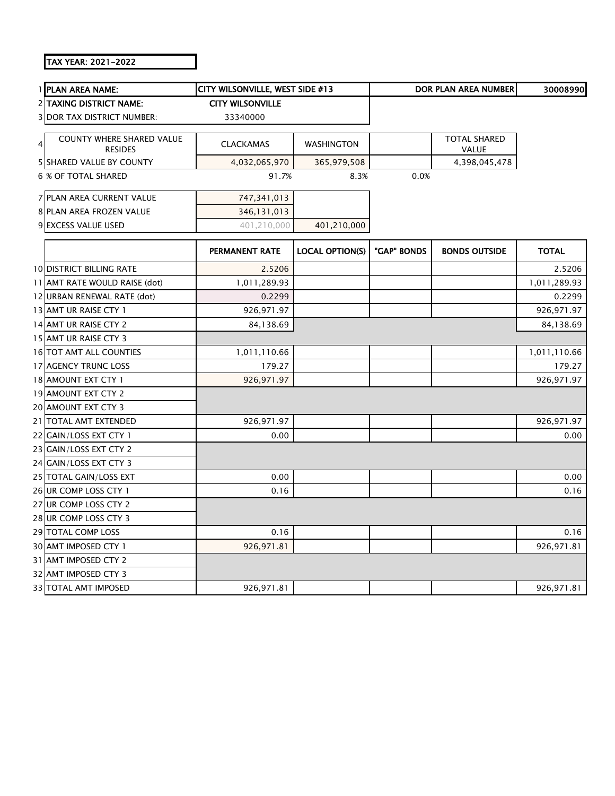## TAX YEAR: 2021-2022

|   | 1 PLAN AREA NAME:                           | CITY WILSONVILLE, WEST SIDE #13 |                        |             | <b>DOR PLAN AREA NUMBER</b>  | 30008990     |
|---|---------------------------------------------|---------------------------------|------------------------|-------------|------------------------------|--------------|
|   | 2 TAXING DISTRICT NAME:                     | <b>CITY WILSONVILLE</b>         |                        |             |                              |              |
|   | <b>3 DOR TAX DISTRICT NUMBER:</b>           | 33340000                        |                        |             |                              |              |
| 4 | COUNTY WHERE SHARED VALUE<br><b>RESIDES</b> | <b>CLACKAMAS</b>                | <b>WASHINGTON</b>      |             | <b>TOTAL SHARED</b><br>VALUE |              |
|   | <b>5 SHARED VALUE BY COUNTY</b>             | 4,032,065,970                   | 365,979,508            |             | 4,398,045,478                |              |
|   | <b>6 % OF TOTAL SHARED</b>                  | 91.7%                           | 8.3%                   | 0.0%        |                              |              |
|   | 7 PLAN AREA CURRENT VALUE                   | 747,341,013                     |                        |             |                              |              |
|   | 8 PLAN AREA FROZEN VALUE                    | 346,131,013                     |                        |             |                              |              |
|   | 9 EXCESS VALUE USED                         | 401,210,000                     | 401,210,000            |             |                              |              |
|   |                                             | PERMANENT RATE                  | <b>LOCAL OPTION(S)</b> | "GAP" BONDS | <b>BONDS OUTSIDE</b>         | <b>TOTAL</b> |
|   | 10 DISTRICT BILLING RATE                    | 2.5206                          |                        |             |                              | 2.5206       |
|   | 11 AMT RATE WOULD RAISE (dot)               | 1,011,289.93                    |                        |             |                              | 1,011,289.93 |
|   | 12 URBAN RENEWAL RATE (dot)                 | 0.2299                          |                        |             |                              | 0.2299       |
|   | 13 AMT UR RAISE CTY 1                       | 926,971.97                      |                        |             |                              | 926,971.97   |
|   | 14 AMT UR RAISE CTY 2                       | 84,138.69                       |                        |             |                              | 84,138.69    |
|   | 15 AMT UR RAISE CTY 3                       |                                 |                        |             |                              |              |
|   | 16 TOT AMT ALL COUNTIES                     | 1,011,110.66                    |                        |             |                              | 1,011,110.66 |
|   | 17 AGENCY TRUNC LOSS                        | 179.27                          |                        |             |                              | 179.27       |
|   | 18 AMOUNT EXT CTY 1                         | 926,971.97                      |                        |             |                              | 926,971.97   |
|   | 19 AMOUNT EXT CTY 2                         |                                 |                        |             |                              |              |
|   | 20 AMOUNT EXT CTY 3                         |                                 |                        |             |                              |              |
|   | 21 TOTAL AMT EXTENDED                       | 926,971.97                      |                        |             |                              | 926,971.97   |
|   | 22 GAIN/LOSS EXT CTY 1                      | 0.00                            |                        |             |                              | 0.00         |
|   | 23 GAIN/LOSS EXT CTY 2                      |                                 |                        |             |                              |              |
|   | 24 GAIN/LOSS EXT CTY 3                      |                                 |                        |             |                              |              |
|   | 25 TOTAL GAIN/LOSS EXT                      | 0.00                            |                        |             |                              | 0.00         |
|   | 26 UR COMP LOSS CTY 1                       | 0.16                            |                        |             |                              | 0.16         |
|   | 27 UR COMP LOSS CTY 2                       |                                 |                        |             |                              |              |
|   | 28 UR COMP LOSS CTY 3                       |                                 |                        |             |                              |              |
|   | 29 TOTAL COMP LOSS                          | 0.16                            |                        |             |                              | 0.16         |
|   | 30 AMT IMPOSED CTY 1                        | 926,971.81                      |                        |             |                              | 926,971.81   |
|   | 31 AMT IMPOSED CTY 2                        |                                 |                        |             |                              |              |
|   | 32 AMT IMPOSED CTY 3                        |                                 |                        |             |                              |              |
|   | 33 TOTAL AMT IMPOSED                        | 926,971.81                      |                        |             |                              | 926,971.81   |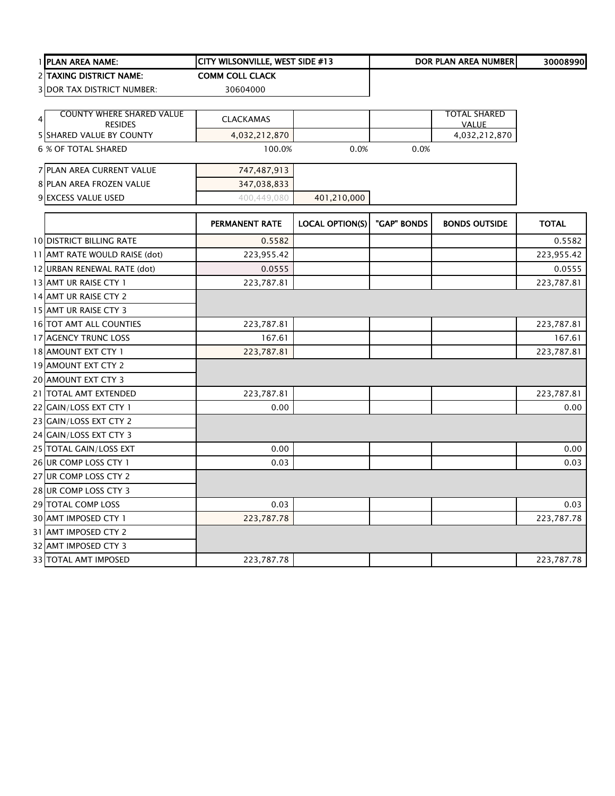|   | PLAN AREA NAME:                                   | CITY WILSONVILLE, WEST SIDE #13 |                        |             | DOR PLAN AREA NUMBER                | 30008990     |
|---|---------------------------------------------------|---------------------------------|------------------------|-------------|-------------------------------------|--------------|
|   | 2 TAXING DISTRICT NAME:                           | <b>COMM COLL CLACK</b>          |                        |             |                                     |              |
|   | <b>3 DOR TAX DISTRICT NUMBER:</b>                 | 30604000                        |                        |             |                                     |              |
|   |                                                   |                                 |                        |             |                                     |              |
| 4 | <b>COUNTY WHERE SHARED VALUE</b>                  | CLACKAMAS                       |                        |             | <b>TOTAL SHARED</b><br><b>VALUE</b> |              |
|   | <b>RESIDES</b><br><b>5 SHARED VALUE BY COUNTY</b> | 4,032,212,870                   |                        |             | 4,032,212,870                       |              |
|   | <b>6 % OF TOTAL SHARED</b>                        | 100.0%                          | 0.0%                   | 0.0%        |                                     |              |
|   |                                                   |                                 |                        |             |                                     |              |
|   | 7 PLAN AREA CURRENT VALUE                         | 747,487,913                     |                        |             |                                     |              |
|   | 8 PLAN AREA FROZEN VALUE                          | 347,038,833                     |                        |             |                                     |              |
|   | 9 EXCESS VALUE USED                               | 400,449,080                     | 401,210,000            |             |                                     |              |
|   |                                                   | PERMANENT RATE                  | <b>LOCAL OPTION(S)</b> | "GAP" BONDS | <b>BONDS OUTSIDE</b>                | <b>TOTAL</b> |
|   | <b>10 DISTRICT BILLING RATE</b>                   | 0.5582                          |                        |             |                                     | 0.5582       |
|   | 11 AMT RATE WOULD RAISE (dot)                     | 223,955.42                      |                        |             |                                     | 223,955.42   |
|   | 12 URBAN RENEWAL RATE (dot)                       | 0.0555                          |                        |             |                                     | 0.0555       |
|   | 13 AMT UR RAISE CTY 1                             | 223,787.81                      |                        |             |                                     | 223,787.81   |
|   | 14 AMT UR RAISE CTY 2                             |                                 |                        |             |                                     |              |
|   | 15 AMT UR RAISE CTY 3                             |                                 |                        |             |                                     |              |
|   | 16 TOT AMT ALL COUNTIES                           | 223,787.81                      |                        |             |                                     | 223,787.81   |
|   | 17 AGENCY TRUNC LOSS                              | 167.61                          |                        |             |                                     | 167.61       |
|   | 18 AMOUNT EXT CTY 1                               | 223,787.81                      |                        |             |                                     | 223,787.81   |
|   | 19 AMOUNT EXT CTY 2                               |                                 |                        |             |                                     |              |
|   | 20 AMOUNT EXT CTY 3                               |                                 |                        |             |                                     |              |
|   | 21 TOTAL AMT EXTENDED                             | 223,787.81                      |                        |             |                                     | 223,787.81   |
|   | 22 GAIN/LOSS EXT CTY 1                            | 0.00                            |                        |             |                                     | 0.00         |
|   | 23 GAIN/LOSS EXT CTY 2                            |                                 |                        |             |                                     |              |
|   | 24 GAIN/LOSS EXT CTY 3                            |                                 |                        |             |                                     |              |
|   | 25 TOTAL GAIN/LOSS EXT                            | 0.00                            |                        |             |                                     | 0.00         |
|   | 26 UR COMP LOSS CTY 1                             | 0.03                            |                        |             |                                     | 0.03         |
|   | 27 UR COMP LOSS CTY 2                             |                                 |                        |             |                                     |              |
|   | 28 UR COMP LOSS CTY 3                             |                                 |                        |             |                                     |              |
|   | 29 TOTAL COMP LOSS                                | 0.03                            |                        |             |                                     | 0.03         |
|   | 30 AMT IMPOSED CTY 1                              | 223,787.78                      |                        |             |                                     | 223,787.78   |
|   | 31 AMT IMPOSED CTY 2                              |                                 |                        |             |                                     |              |
|   | 32 AMT IMPOSED CTY 3                              |                                 |                        |             |                                     |              |
|   | 33 TOTAL AMT IMPOSED                              | 223,787.78                      |                        |             |                                     | 223,787.78   |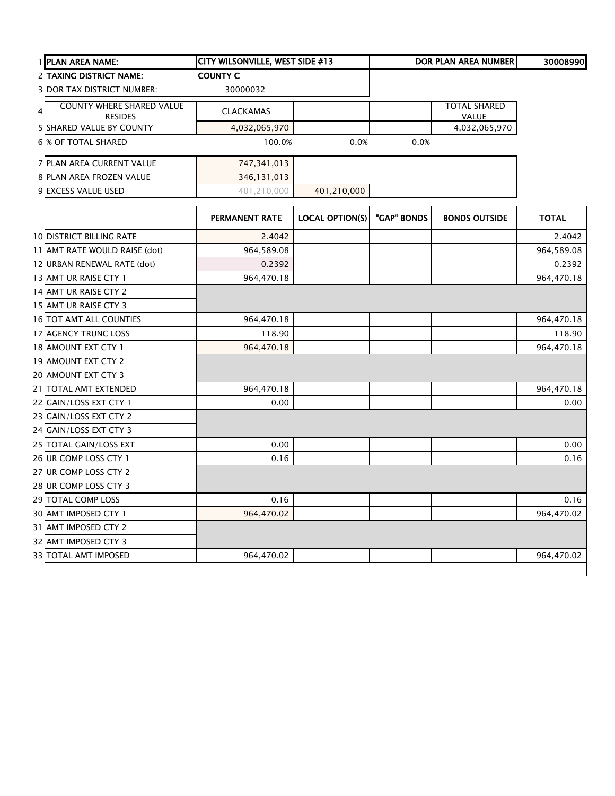|   | 1 PLAN AREA NAME:                 | CITY WILSONVILLE, WEST SIDE #13 |                        |             | DOR PLAN AREA NUMBER | 30008990     |
|---|-----------------------------------|---------------------------------|------------------------|-------------|----------------------|--------------|
|   | 2 TAXING DISTRICT NAME:           | <b>COUNTY C</b>                 |                        |             |                      |              |
|   | <b>3 DOR TAX DISTRICT NUMBER:</b> | 30000032                        |                        |             |                      |              |
| 4 | <b>COUNTY WHERE SHARED VALUE</b>  | <b>CLACKAMAS</b>                |                        |             | <b>TOTAL SHARED</b>  |              |
|   | <b>RESIDES</b>                    |                                 |                        |             | <b>VALUE</b>         |              |
|   | <b>5 SHARED VALUE BY COUNTY</b>   | 4,032,065,970                   |                        |             | 4,032,065,970        |              |
|   | <b>6 % OF TOTAL SHARED</b>        | 100.0%                          | 0.0%                   | 0.0%        |                      |              |
|   | 7 PLAN AREA CURRENT VALUE         | 747,341,013                     |                        |             |                      |              |
|   | 8 PLAN AREA FROZEN VALUE          | 346,131,013                     |                        |             |                      |              |
|   | 9 EXCESS VALUE USED               | 401,210,000                     | 401,210,000            |             |                      |              |
|   |                                   | <b>PERMANENT RATE</b>           | <b>LOCAL OPTION(S)</b> | "GAP" BONDS | <b>BONDS OUTSIDE</b> | <b>TOTAL</b> |
|   | <b>10 DISTRICT BILLING RATE</b>   | 2.4042                          |                        |             |                      | 2.4042       |
|   | 11 AMT RATE WOULD RAISE (dot)     | 964,589.08                      |                        |             |                      | 964,589.08   |
|   | 12 URBAN RENEWAL RATE (dot)       | 0.2392                          |                        |             |                      | 0.2392       |
|   | 13 AMT UR RAISE CTY 1             | 964,470.18                      |                        |             |                      | 964,470.18   |
|   | 14 AMT UR RAISE CTY 2             |                                 |                        |             |                      |              |
|   | 15 AMT UR RAISE CTY 3             |                                 |                        |             |                      |              |
|   | 16 TOT AMT ALL COUNTIES           | 964,470.18                      |                        |             |                      | 964,470.18   |
|   | 17 AGENCY TRUNC LOSS              | 118.90                          |                        |             |                      | 118.90       |
|   | 18 AMOUNT EXT CTY 1               | 964,470.18                      |                        |             |                      | 964,470.18   |
|   | 19 AMOUNT EXT CTY 2               |                                 |                        |             |                      |              |
|   | 20 AMOUNT EXT CTY 3               |                                 |                        |             |                      |              |
|   | 21 TOTAL AMT EXTENDED             | 964,470.18                      |                        |             |                      | 964,470.18   |
|   | 22 GAIN/LOSS EXT CTY 1            | 0.00                            |                        |             |                      | 0.00         |
|   | 23 GAIN/LOSS EXT CTY 2            |                                 |                        |             |                      |              |
|   | 24 GAIN/LOSS EXT CTY 3            |                                 |                        |             |                      |              |
|   | 25 TOTAL GAIN/LOSS EXT            | 0.00                            |                        |             |                      | 0.00         |
|   | 26 UR COMP LOSS CTY 1             | 0.16                            |                        |             |                      | 0.16         |
|   | 27 UR COMP LOSS CTY 2             |                                 |                        |             |                      |              |
|   | 28 UR COMP LOSS CTY 3             |                                 |                        |             |                      |              |
|   | 29 TOTAL COMP LOSS                | 0.16                            |                        |             |                      | 0.16         |
|   | 30 AMT IMPOSED CTY 1              | 964,470.02                      |                        |             |                      | 964,470.02   |
|   | 31 AMT IMPOSED CTY 2              |                                 |                        |             |                      |              |
|   | 32 AMT IMPOSED CTY 3              |                                 |                        |             |                      |              |
|   | 33 TOTAL AMT IMPOSED              | 964,470.02                      |                        |             |                      | 964,470.02   |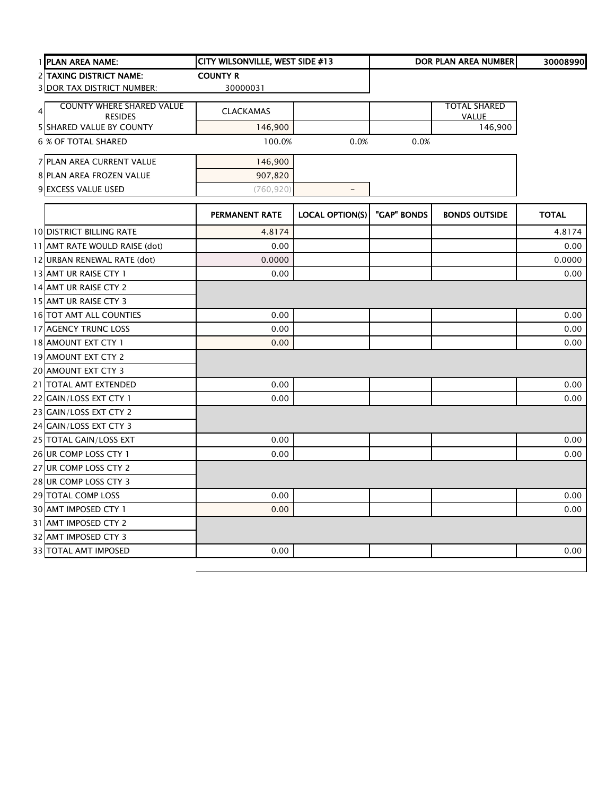| 1 PLAN AREA NAME:                | CITY WILSONVILLE, WEST SIDE #13 |                          |             | DOR PLAN AREA NUMBER | 30008990     |
|----------------------------------|---------------------------------|--------------------------|-------------|----------------------|--------------|
| 2 TAXING DISTRICT NAME:          | <b>COUNTY R</b>                 |                          |             |                      |              |
| 3 DOR TAX DISTRICT NUMBER:       | 30000031                        |                          |             |                      |              |
| <b>COUNTY WHERE SHARED VALUE</b> |                                 |                          |             | <b>TOTAL SHARED</b>  |              |
| $\overline{4}$<br><b>RESIDES</b> | CLACKAMAS                       |                          |             | <b>VALUE</b>         |              |
| <b>5 SHARED VALUE BY COUNTY</b>  | 146,900                         |                          |             | 146,900              |              |
| <b>6 % OF TOTAL SHARED</b>       | 100.0%                          | 0.0%                     | 0.0%        |                      |              |
| 7 PLAN AREA CURRENT VALUE        | 146,900                         |                          |             |                      |              |
| <b>8 PLAN AREA FROZEN VALUE</b>  | 907,820                         |                          |             |                      |              |
| 9 EXCESS VALUE USED              | (760, 920)                      | $\overline{\phantom{a}}$ |             |                      |              |
|                                  | PERMANENT RATE                  | <b>LOCAL OPTION(S)</b>   | "GAP" BONDS | <b>BONDS OUTSIDE</b> | <b>TOTAL</b> |
| <b>10 DISTRICT BILLING RATE</b>  | 4.8174                          |                          |             |                      | 4.8174       |
| 11 AMT RATE WOULD RAISE (dot)    | 0.00                            |                          |             |                      | 0.00         |
| 12 URBAN RENEWAL RATE (dot)      | 0.0000                          |                          |             |                      | 0.0000       |
| 13 AMT UR RAISE CTY 1            | 0.00                            |                          |             |                      | 0.00         |
| 14 AMT UR RAISE CTY 2            |                                 |                          |             |                      |              |
| 15 AMT UR RAISE CTY 3            |                                 |                          |             |                      |              |
| 16 TOT AMT ALL COUNTIES          | 0.00                            |                          |             |                      | 0.00         |
| 17 AGENCY TRUNC LOSS             | 0.00                            |                          |             |                      | 0.00         |
| 18 AMOUNT EXT CTY 1              | 0.00                            |                          |             |                      | 0.00         |
| 19 AMOUNT EXT CTY 2              |                                 |                          |             |                      |              |
| 20 AMOUNT EXT CTY 3              |                                 |                          |             |                      |              |
| 21 TOTAL AMT EXTENDED            | 0.00                            |                          |             |                      | 0.00         |
| 22 GAIN/LOSS EXT CTY 1           | 0.00                            |                          |             |                      | 0.00         |
| 23 GAIN/LOSS EXT CTY 2           |                                 |                          |             |                      |              |
| 24 GAIN/LOSS EXT CTY 3           |                                 |                          |             |                      |              |
| 25 TOTAL GAIN/LOSS EXT           | 0.00                            |                          |             |                      | 0.00         |
| 26 UR COMP LOSS CTY 1            | 0.00                            |                          |             |                      | 0.00         |
| 27 UR COMP LOSS CTY 2            |                                 |                          |             |                      |              |
| 28 UR COMP LOSS CTY 3            |                                 |                          |             |                      |              |
| 29 TOTAL COMP LOSS               | 0.00                            |                          |             |                      | 0.00         |
| 30 AMT IMPOSED CTY 1             | 0.00                            |                          |             |                      | 0.00         |
| 31 AMT IMPOSED CTY 2             |                                 |                          |             |                      |              |
| 32 AMT IMPOSED CTY 3             |                                 |                          |             |                      |              |
| 33 TOTAL AMT IMPOSED             | 0.00                            |                          |             |                      | 0.00         |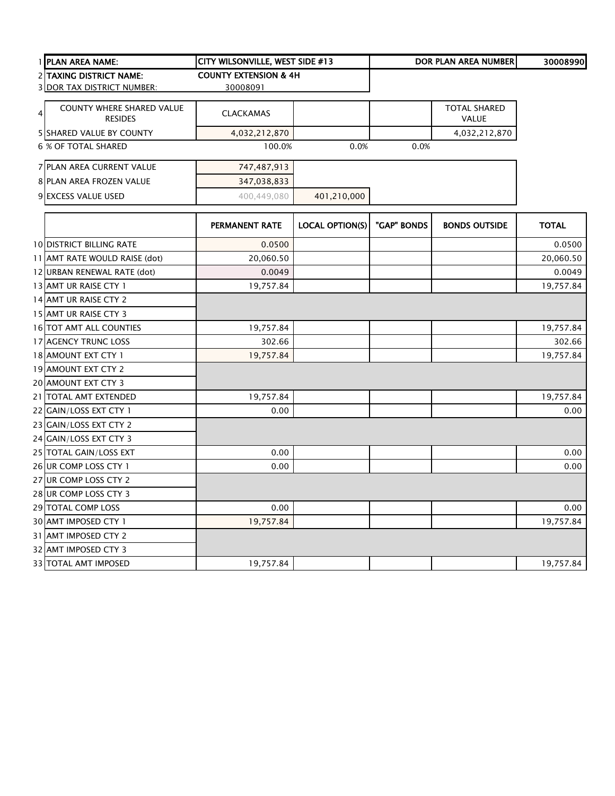|   | 1 PLAN AREA NAME:                                  | CITY WILSONVILLE, WEST SIDE #13  |                        |             | DOR PLAN AREA NUMBER         | 30008990     |
|---|----------------------------------------------------|----------------------------------|------------------------|-------------|------------------------------|--------------|
|   | 2 TAXING DISTRICT NAME:                            | <b>COUNTY EXTENSION &amp; 4H</b> |                        |             |                              |              |
|   | 3 DOR TAX DISTRICT NUMBER:                         | 30008091                         |                        |             |                              |              |
| 4 | <b>COUNTY WHERE SHARED VALUE</b><br><b>RESIDES</b> | <b>CLACKAMAS</b>                 |                        |             | <b>TOTAL SHARED</b><br>VALUE |              |
|   | <b>5 SHARED VALUE BY COUNTY</b>                    | 4,032,212,870                    |                        |             | 4,032,212,870                |              |
|   | 6 % OF TOTAL SHARED                                | 100.0%                           | 0.0%                   | 0.0%        |                              |              |
|   | 7 PLAN AREA CURRENT VALUE                          | 747,487,913                      |                        |             |                              |              |
|   | <b>8 PLAN AREA FROZEN VALUE</b>                    | 347,038,833                      |                        |             |                              |              |
|   | 9 EXCESS VALUE USED                                | 400,449,080                      | 401,210,000            |             |                              |              |
|   |                                                    | PERMANENT RATE                   | <b>LOCAL OPTION(S)</b> | "GAP" BONDS | <b>BONDS OUTSIDE</b>         | <b>TOTAL</b> |
|   | <b>10 DISTRICT BILLING RATE</b>                    | 0.0500                           |                        |             |                              | 0.0500       |
|   | 11 AMT RATE WOULD RAISE (dot)                      | 20,060.50                        |                        |             |                              | 20,060.50    |
|   | 12 URBAN RENEWAL RATE (dot)                        | 0.0049                           |                        |             |                              | 0.0049       |
|   | 13 AMT UR RAISE CTY 1                              | 19,757.84                        |                        |             |                              | 19,757.84    |
|   | 14 AMT UR RAISE CTY 2                              |                                  |                        |             |                              |              |
|   | 15 AMT UR RAISE CTY 3                              |                                  |                        |             |                              |              |
|   | 16 TOT AMT ALL COUNTIES                            | 19,757.84                        |                        |             |                              | 19,757.84    |
|   | 17 AGENCY TRUNC LOSS                               | 302.66                           |                        |             |                              | 302.66       |
|   | 18 AMOUNT EXT CTY 1                                | 19,757.84                        |                        |             |                              | 19,757.84    |
|   | 19 AMOUNT EXT CTY 2                                |                                  |                        |             |                              |              |
|   | 20 AMOUNT EXT CTY 3                                |                                  |                        |             |                              |              |
|   | 21 TOTAL AMT EXTENDED                              | 19,757.84                        |                        |             |                              | 19,757.84    |
|   | 22 GAIN/LOSS EXT CTY 1                             | 0.00                             |                        |             |                              | 0.00         |
|   | 23 GAIN/LOSS EXT CTY 2                             |                                  |                        |             |                              |              |
|   | 24 GAIN/LOSS EXT CTY 3                             |                                  |                        |             |                              |              |
|   | 25 TOTAL GAIN/LOSS EXT                             | 0.00                             |                        |             |                              | 0.00         |
|   | 26 UR COMP LOSS CTY 1                              | 0.00                             |                        |             |                              | 0.00         |
|   | 27 UR COMP LOSS CTY 2                              |                                  |                        |             |                              |              |
|   | 28 UR COMP LOSS CTY 3                              |                                  |                        |             |                              |              |
|   | 29 TOTAL COMP LOSS                                 | 0.00                             |                        |             |                              | 0.00         |
|   | 30 AMT IMPOSED CTY 1                               | 19,757.84                        |                        |             |                              | 19,757.84    |
|   | 31 AMT IMPOSED CTY 2                               |                                  |                        |             |                              |              |
|   | 32 AMT IMPOSED CTY 3                               |                                  |                        |             |                              |              |
|   | 33 TOTAL AMT IMPOSED                               | 19,757.84                        |                        |             |                              | 19,757.84    |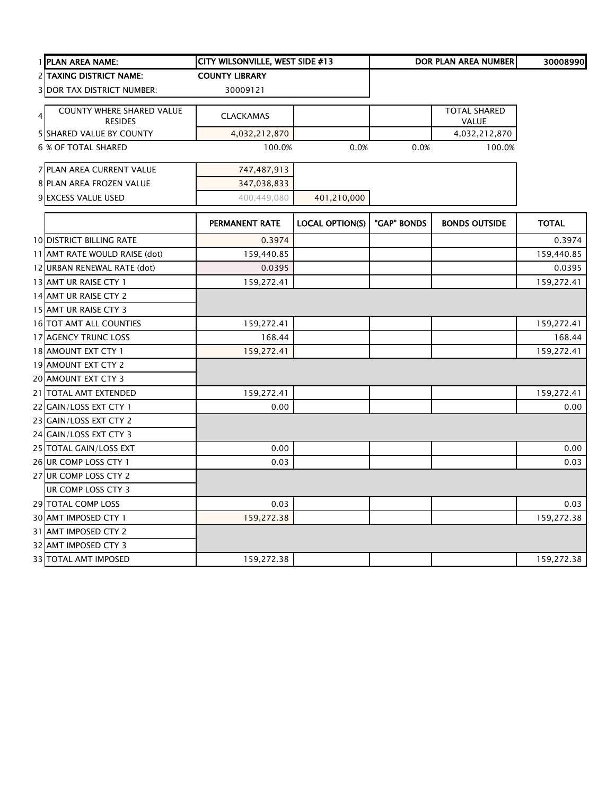|   | 1 PLAN AREA NAME:                                  | CITY WILSONVILLE, WEST SIDE #13 |                        |             | DOR PLAN AREA NUMBER         | 30008990     |
|---|----------------------------------------------------|---------------------------------|------------------------|-------------|------------------------------|--------------|
|   | <b>2 ITAXING DISTRICT NAME:</b>                    | <b>COUNTY LIBRARY</b>           |                        |             |                              |              |
|   | <b>3 DOR TAX DISTRICT NUMBER:</b>                  | 30009121                        |                        |             |                              |              |
| 4 | <b>COUNTY WHERE SHARED VALUE</b><br><b>RESIDES</b> | <b>CLACKAMAS</b>                |                        |             | <b>TOTAL SHARED</b><br>VALUE |              |
|   | 5 SHARED VALUE BY COUNTY                           | 4,032,212,870                   |                        |             | 4,032,212,870                |              |
|   | <b>6 % OF TOTAL SHARED</b>                         | 100.0%                          | 0.0%                   | 0.0%        | 100.0%                       |              |
|   | 7 PLAN AREA CURRENT VALUE                          | 747,487,913                     |                        |             |                              |              |
|   | 8 PLAN AREA FROZEN VALUE                           | 347,038,833                     |                        |             |                              |              |
|   | 9 EXCESS VALUE USED                                | 400,449,080                     | 401,210,000            |             |                              |              |
|   |                                                    | PERMANENT RATE                  | <b>LOCAL OPTION(S)</b> | "GAP" BONDS | <b>BONDS OUTSIDE</b>         | <b>TOTAL</b> |
|   | <b>10 DISTRICT BILLING RATE</b>                    | 0.3974                          |                        |             |                              | 0.3974       |
|   | 11 AMT RATE WOULD RAISE (dot)                      | 159,440.85                      |                        |             |                              | 159,440.85   |
|   | 12 URBAN RENEWAL RATE (dot)                        | 0.0395                          |                        |             |                              | 0.0395       |
|   | 13 AMT UR RAISE CTY 1                              | 159,272.41                      |                        |             |                              | 159,272.41   |
|   | 14 AMT UR RAISE CTY 2                              |                                 |                        |             |                              |              |
|   | 15 AMT UR RAISE CTY 3                              |                                 |                        |             |                              |              |
|   | 16 TOT AMT ALL COUNTIES                            | 159,272.41                      |                        |             |                              | 159,272.41   |
|   | 17 AGENCY TRUNC LOSS                               | 168.44                          |                        |             |                              | 168.44       |
|   | 18 AMOUNT EXT CTY 1                                | 159,272.41                      |                        |             |                              | 159,272.41   |
|   | 19 AMOUNT EXT CTY 2                                |                                 |                        |             |                              |              |
|   | 20 AMOUNT EXT CTY 3                                |                                 |                        |             |                              |              |
|   | 21 TOTAL AMT EXTENDED                              | 159,272.41                      |                        |             |                              | 159,272.41   |
|   | 22 GAIN/LOSS EXT CTY 1                             | 0.00                            |                        |             |                              | 0.00         |
|   | 23 GAIN/LOSS EXT CTY 2                             |                                 |                        |             |                              |              |
|   | 24 GAIN/LOSS EXT CTY 3                             |                                 |                        |             |                              |              |
|   | 25 TOTAL GAIN/LOSS EXT                             | 0.00                            |                        |             |                              | 0.00         |
|   | 26 UR COMP LOSS CTY 1                              | 0.03                            |                        |             |                              | 0.03         |
|   | 27 UR COMP LOSS CTY 2                              |                                 |                        |             |                              |              |
|   | UR COMP LOSS CTY 3                                 |                                 |                        |             |                              |              |
|   | 29 TOTAL COMP LOSS                                 | 0.03                            |                        |             |                              | 0.03         |
|   | 30 AMT IMPOSED CTY 1                               | 159,272.38                      |                        |             |                              | 159,272.38   |
|   | 31 AMT IMPOSED CTY 2                               |                                 |                        |             |                              |              |
|   | 32 AMT IMPOSED CTY 3                               |                                 |                        |             |                              |              |
|   | <b>33 TOTAL AMT IMPOSED</b>                        | 159,272.38                      |                        |             |                              | 159,272.38   |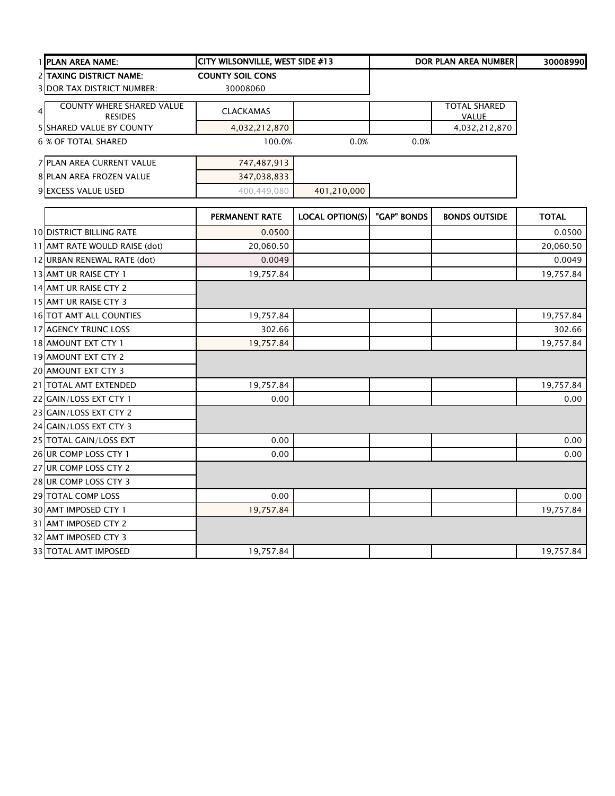|                | 1 PLAN AREA NAME:                 | CITY WILSONVILLE, WEST SIDE #13 |                        |             | <b>DOR PLAN AREA NUMBER</b> | 30008990     |
|----------------|-----------------------------------|---------------------------------|------------------------|-------------|-----------------------------|--------------|
|                | <b>2 TAXING DISTRICT NAME:</b>    | <b>COUNTY SOIL CONS</b>         |                        |             |                             |              |
|                | <b>3 DOR TAX DISTRICT NUMBER:</b> | 30008060                        |                        |             |                             |              |
| $\overline{4}$ | <b>COUNTY WHERE SHARED VALUE</b>  | <b>CLACKAMAS</b>                |                        |             | <b>TOTAL SHARED</b>         |              |
|                | <b>RESIDES</b>                    |                                 |                        |             | <b>VALUE</b>                |              |
|                | <b>5 SHARED VALUE BY COUNTY</b>   | 4,032,212,870                   |                        |             | 4,032,212,870               |              |
|                | 6 % OF TOTAL SHARED               | 100.0%                          | 0.0%                   | 0.0%        |                             |              |
|                | 7 PLAN AREA CURRENT VALUE         | 747,487,913                     |                        |             |                             |              |
|                | 8 PLAN AREA FROZEN VALUE          | 347,038,833                     |                        |             |                             |              |
|                | 9 EXCESS VALUE USED               | 400,449,080                     | 401,210,000            |             |                             |              |
|                |                                   | <b>PERMANENT RATE</b>           | <b>LOCAL OPTION(S)</b> | "GAP" BONDS | <b>BONDS OUTSIDE</b>        | <b>TOTAL</b> |
|                | <b>10 DISTRICT BILLING RATE</b>   | 0.0500                          |                        |             |                             | 0.0500       |
|                | 11 AMT RATE WOULD RAISE (dot)     | 20,060.50                       |                        |             |                             | 20,060.50    |
|                | 12 URBAN RENEWAL RATE (dot)       | 0.0049                          |                        |             |                             | 0.0049       |
|                | 13 AMT UR RAISE CTY 1             | 19,757.84                       |                        |             |                             | 19,757.84    |
|                | 14 AMT UR RAISE CTY 2             |                                 |                        |             |                             |              |
|                | 15 AMT UR RAISE CTY 3             |                                 |                        |             |                             |              |
|                | 16 TOT AMT ALL COUNTIES           | 19,757.84                       |                        |             |                             | 19,757.84    |
|                | 17 AGENCY TRUNC LOSS              | 302.66                          |                        |             |                             | 302.66       |
|                | 18 AMOUNT EXT CTY 1               | 19,757.84                       |                        |             |                             | 19,757.84    |
|                | 19 AMOUNT EXT CTY 2               |                                 |                        |             |                             |              |
|                | 20 AMOUNT EXT CTY 3               |                                 |                        |             |                             |              |
|                | 21 TOTAL AMT EXTENDED             | 19,757.84                       |                        |             |                             | 19,757.84    |
|                | 22 GAIN/LOSS EXT CTY 1            | 0.00                            |                        |             |                             | 0.00         |
|                | 23 GAIN/LOSS EXT CTY 2            |                                 |                        |             |                             |              |
|                | 24 GAIN/LOSS EXT CTY 3            |                                 |                        |             |                             |              |
|                | 25 TOTAL GAIN/LOSS EXT            | 0.00                            |                        |             |                             | 0.00         |
|                | 26 UR COMP LOSS CTY 1             | 0.00                            |                        |             |                             | 0.00         |
|                | 27 UR COMP LOSS CTY 2             |                                 |                        |             |                             |              |
|                | 28 UR COMP LOSS CTY 3             |                                 |                        |             |                             |              |
|                | 29 TOTAL COMP LOSS                | 0.00                            |                        |             |                             | 0.00         |
|                | 30 AMT IMPOSED CTY 1              | 19,757.84                       |                        |             |                             | 19,757.84    |
|                | 31 AMT IMPOSED CTY 2              |                                 |                        |             |                             |              |
|                | 32 AMT IMPOSED CTY 3              |                                 |                        |             |                             |              |
|                | <b>33 TOTAL AMT IMPOSED</b>       | 19,757.84                       |                        |             |                             | 19,757.84    |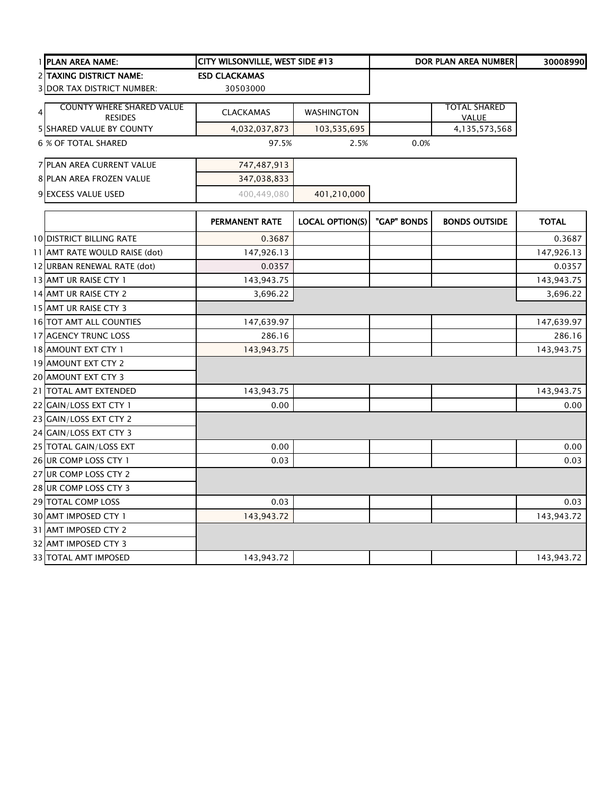|   | 1 PLAN AREA NAME:                                  | CITY WILSONVILLE, WEST SIDE #13 |                        |             | DOR PLAN AREA NUMBER                | 30008990     |
|---|----------------------------------------------------|---------------------------------|------------------------|-------------|-------------------------------------|--------------|
|   | 2 TAXING DISTRICT NAME:                            | <b>ESD CLACKAMAS</b>            |                        |             |                                     |              |
|   | <b>3 DOR TAX DISTRICT NUMBER:</b>                  | 30503000                        |                        |             |                                     |              |
| 4 | <b>COUNTY WHERE SHARED VALUE</b><br><b>RESIDES</b> | <b>CLACKAMAS</b>                | <b>WASHINGTON</b>      |             | <b>TOTAL SHARED</b><br><b>VALUE</b> |              |
|   | 5 SHARED VALUE BY COUNTY                           | 4,032,037,873                   | 103,535,695            |             | 4,135,573,568                       |              |
|   | <b>6 % OF TOTAL SHARED</b>                         | 97.5%                           | 2.5%                   | 0.0%        |                                     |              |
|   | 7 PLAN AREA CURRENT VALUE                          | 747,487,913                     |                        |             |                                     |              |
|   | 8 PLAN AREA FROZEN VALUE                           | 347,038,833                     |                        |             |                                     |              |
|   | 9 EXCESS VALUE USED                                | 400,449,080                     | 401,210,000            |             |                                     |              |
|   |                                                    | <b>PERMANENT RATE</b>           | <b>LOCAL OPTION(S)</b> | "GAP" BONDS | <b>BONDS OUTSIDE</b>                | <b>TOTAL</b> |
|   | <b>10 DISTRICT BILLING RATE</b>                    | 0.3687                          |                        |             |                                     | 0.3687       |
|   | 11 AMT RATE WOULD RAISE (dot)                      | 147,926.13                      |                        |             |                                     | 147,926.13   |
|   | 12 URBAN RENEWAL RATE (dot)                        | 0.0357                          |                        |             |                                     | 0.0357       |
|   | 13 AMT UR RAISE CTY 1                              | 143,943.75                      |                        |             |                                     | 143,943.75   |
|   | 14 AMT UR RAISE CTY 2                              | 3,696.22                        |                        |             |                                     | 3,696.22     |
|   | 15 AMT UR RAISE CTY 3                              |                                 |                        |             |                                     |              |
|   | 16 TOT AMT ALL COUNTIES                            | 147,639.97                      |                        |             |                                     | 147,639.97   |
|   | 17 AGENCY TRUNC LOSS                               | 286.16                          |                        |             |                                     | 286.16       |
|   | 18 AMOUNT EXT CTY 1                                | 143,943.75                      |                        |             |                                     | 143,943.75   |
|   | 19 AMOUNT EXT CTY 2                                |                                 |                        |             |                                     |              |
|   | 20 AMOUNT EXT CTY 3                                |                                 |                        |             |                                     |              |
|   | 21 TOTAL AMT EXTENDED                              | 143,943.75                      |                        |             |                                     | 143,943.75   |
|   | 22 GAIN/LOSS EXT CTY 1                             | 0.00                            |                        |             |                                     | 0.00         |
|   | 23 GAIN/LOSS EXT CTY 2                             |                                 |                        |             |                                     |              |
|   | 24 GAIN/LOSS EXT CTY 3                             |                                 |                        |             |                                     |              |
|   | 25 TOTAL GAIN/LOSS EXT                             | 0.00                            |                        |             |                                     | 0.00         |
|   | 26 UR COMP LOSS CTY 1                              | 0.03                            |                        |             |                                     | 0.03         |
|   | 27 UR COMP LOSS CTY 2                              |                                 |                        |             |                                     |              |
|   | 28 UR COMP LOSS CTY 3                              |                                 |                        |             |                                     |              |
|   | 29 TOTAL COMP LOSS                                 | 0.03                            |                        |             |                                     | 0.03         |
|   | 30 AMT IMPOSED CTY 1                               | 143,943.72                      |                        |             |                                     | 143,943.72   |
|   | 31 AMT IMPOSED CTY 2                               |                                 |                        |             |                                     |              |
|   | 32 AMT IMPOSED CTY 3                               |                                 |                        |             |                                     |              |
|   | <b>33 TOTAL AMT IMPOSED</b>                        | 143,943.72                      |                        |             |                                     | 143,943.72   |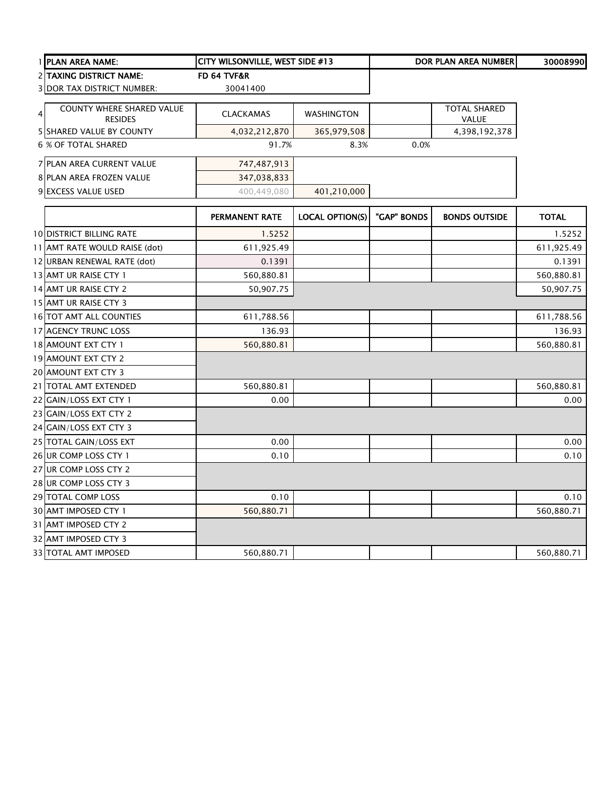| I IPLAN AREA NAME:                                 | <b>CITY WILSONVILLE, WEST SIDE #13</b> |                   |      | <b>DOR PLAN AREA NUMBERI</b>        | 30008990 |
|----------------------------------------------------|----------------------------------------|-------------------|------|-------------------------------------|----------|
| <b>2 TAXING DISTRICT NAME:</b>                     | FD 64 TVF&R                            |                   |      |                                     |          |
| <b>3IDOR TAX DISTRICT NUMBER:</b>                  | 30041400                               |                   |      |                                     |          |
| <b>COUNTY WHERE SHARED VALUE</b><br><b>RESIDES</b> | <b>CLACKAMAS</b>                       | <b>WASHINGTON</b> |      | <b>TOTAL SHARED</b><br><b>VALUE</b> |          |
| <b>5 ISHARED VALUE BY COUNTY</b>                   | 4,032,212,870                          | 365,979,508       |      | 4,398,192,378                       |          |
| 6 % OF TOTAL SHARED                                | 91.7%                                  | 8.3%              | 0.0% |                                     |          |
| <b>7 PLAN AREA CURRENT VALUE</b>                   | 747,487,913                            |                   |      |                                     |          |
| <b>8 PLAN AREA FROZEN VALUE</b>                    | 347,038,833                            |                   |      |                                     |          |
| 9 EXCESS VALUE USED                                | 400,449,080                            | 401,210,000       |      |                                     |          |
|                                                    |                                        |                   |      |                                     |          |

|                                 | <b>PERMANENT RATE</b> | <b>LOCAL OPTION(S)</b> | "GAP" BONDS | <b>BONDS OUTSIDE</b> | <b>TOTAL</b> |
|---------------------------------|-----------------------|------------------------|-------------|----------------------|--------------|
| <b>10 DISTRICT BILLING RATE</b> | 1.5252                |                        |             |                      | 1.5252       |
| 11 AMT RATE WOULD RAISE (dot)   | 611,925.49            |                        |             |                      | 611,925.49   |
| 12 URBAN RENEWAL RATE (dot)     | 0.1391                |                        |             |                      | 0.1391       |
| 13 AMT UR RAISE CTY 1           | 560,880.81            |                        |             |                      | 560,880.81   |
| 14 AMT UR RAISE CTY 2           | 50,907.75             |                        |             |                      | 50,907.75    |
| 15 AMT UR RAISE CTY 3           |                       |                        |             |                      |              |
| <b>16 TOT AMT ALL COUNTIES</b>  | 611,788.56            |                        |             |                      | 611,788.56   |
| 17 AGENCY TRUNC LOSS            | 136.93                |                        |             |                      | 136.93       |
| 18 AMOUNT EXT CTY 1             | 560,880.81            |                        |             |                      | 560,880.81   |
| 19 AMOUNT EXT CTY 2             |                       |                        |             |                      |              |
| 20 AMOUNT EXT CTY 3             |                       |                        |             |                      |              |
| 21 TOTAL AMT EXTENDED           | 560,880.81            |                        |             |                      | 560,880.81   |
| 22 GAIN/LOSS EXT CTY 1          | 0.00                  |                        |             |                      | 0.00         |
| 23 GAIN/LOSS EXT CTY 2          |                       |                        |             |                      |              |
| 24 GAIN/LOSS EXT CTY 3          |                       |                        |             |                      |              |
| 25 TOTAL GAIN/LOSS EXT          | 0.00                  |                        |             |                      | 0.00         |
| 26 UR COMP LOSS CTY 1           | 0.10                  |                        |             |                      | 0.10         |
| 27 UR COMP LOSS CTY 2           |                       |                        |             |                      |              |
| 28 UR COMP LOSS CTY 3           |                       |                        |             |                      |              |
| 29 TOTAL COMP LOSS              | 0.10                  |                        |             |                      | 0.10         |
| 30 AMT IMPOSED CTY 1            | 560,880.71            |                        |             |                      | 560,880.71   |
| 31 AMT IMPOSED CTY 2            |                       |                        |             |                      |              |
| 32 AMT IMPOSED CTY 3            |                       |                        |             |                      |              |
| <b>33 TOTAL AMT IMPOSED</b>     | 560,880.71            |                        |             |                      | 560,880.71   |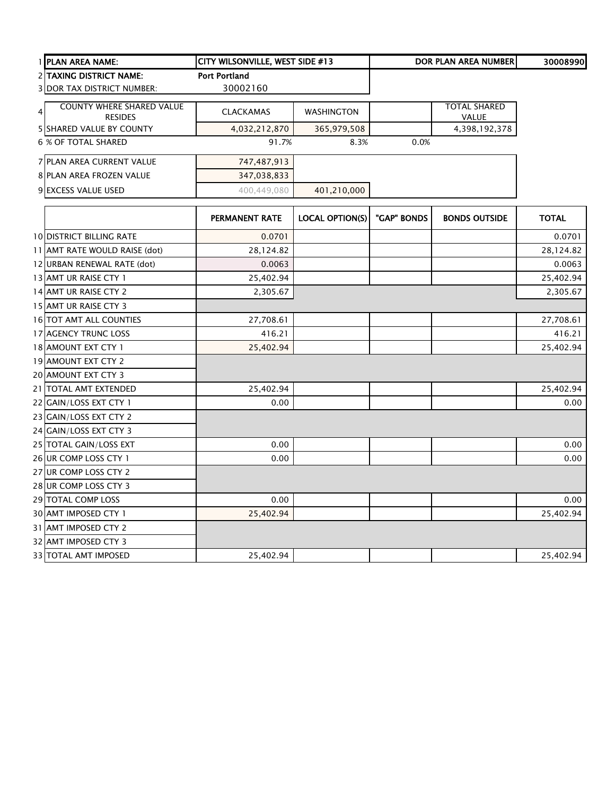|                | 1 PLAN AREA NAME:                                  | <b>CITY WILSONVILLE, WEST SIDE #13</b> |                   |      | DOR PLAN AREA NUMBERI               | 30008990 |
|----------------|----------------------------------------------------|----------------------------------------|-------------------|------|-------------------------------------|----------|
|                | <b>2 TAXING DISTRICT NAME:</b>                     | <b>Port Portland</b>                   |                   |      |                                     |          |
|                | <b>3 DOR TAX DISTRICT NUMBER:</b>                  | 30002160                               |                   |      |                                     |          |
| $\overline{4}$ | <b>COUNTY WHERE SHARED VALUE</b><br><b>RESIDES</b> | <b>CLACKAMAS</b>                       | <b>WASHINGTON</b> |      | <b>TOTAL SHARED</b><br><b>VALUE</b> |          |
|                | <b>5 SHARED VALUE BY COUNTY</b>                    | 4,032,212,870                          | 365,979,508       |      | 4,398,192,378                       |          |
|                | 6 % OF TOTAL SHARED                                | 91.7%                                  | 8.3%              | 0.0% |                                     |          |
|                | <b>7 PLAN AREA CURRENT VALUE</b>                   | 747,487,913                            |                   |      |                                     |          |
|                | <b>8 PLAN AREA FROZEN VALUE</b>                    | 347,038,833                            |                   |      |                                     |          |
|                | <b>9 EXCESS VALUE USED</b>                         | 400.449.080                            | 401,210,000       |      |                                     |          |

|                                 | <b>PERMANENT RATE</b> | <b>LOCAL OPTION(S)</b> | "GAP" BONDS | <b>BONDS OUTSIDE</b> | <b>TOTAL</b> |
|---------------------------------|-----------------------|------------------------|-------------|----------------------|--------------|
| <b>10 DISTRICT BILLING RATE</b> | 0.0701                |                        |             |                      | 0.0701       |
| 11 AMT RATE WOULD RAISE (dot)   | 28,124.82             |                        |             |                      | 28,124.82    |
| 12 URBAN RENEWAL RATE (dot)     | 0.0063                |                        |             |                      | 0.0063       |
| 13 AMT UR RAISE CTY 1           | 25,402.94             |                        |             |                      | 25,402.94    |
| 14 AMT UR RAISE CTY 2           | 2,305.67              |                        |             |                      | 2,305.67     |
| 15 AMT UR RAISE CTY 3           |                       |                        |             |                      |              |
| 16 TOT AMT ALL COUNTIES         | 27,708.61             |                        |             |                      | 27,708.61    |
| 17 AGENCY TRUNC LOSS            | 416.21                |                        |             |                      | 416.21       |
| 18 AMOUNT EXT CTY 1             | 25,402.94             |                        |             |                      | 25,402.94    |
| 19 AMOUNT EXT CTY 2             |                       |                        |             |                      |              |
| 20 AMOUNT EXT CTY 3             |                       |                        |             |                      |              |
| 21 TOTAL AMT EXTENDED           | 25,402.94             |                        |             |                      | 25,402.94    |
| 22 GAIN/LOSS EXT CTY 1          | 0.00                  |                        |             |                      | 0.00         |
| 23 GAIN/LOSS EXT CTY 2          |                       |                        |             |                      |              |
| 24 GAIN/LOSS EXT CTY 3          |                       |                        |             |                      |              |
| 25 TOTAL GAIN/LOSS EXT          | 0.00                  |                        |             |                      | 0.00         |
| 26 UR COMP LOSS CTY 1           | 0.00                  |                        |             |                      | 0.00         |
| 27 UR COMP LOSS CTY 2           |                       |                        |             |                      |              |
| 28 UR COMP LOSS CTY 3           |                       |                        |             |                      |              |
| 29 TOTAL COMP LOSS              | 0.00                  |                        |             |                      | 0.00         |
| 30 AMT IMPOSED CTY 1            | 25,402.94             |                        |             |                      | 25,402.94    |
| 31 AMT IMPOSED CTY 2            |                       |                        |             |                      |              |
| 32 AMT IMPOSED CTY 3            |                       |                        |             |                      |              |
| <b>33 TOTAL AMT IMPOSED</b>     | 25,402.94             |                        |             |                      | 25,402.94    |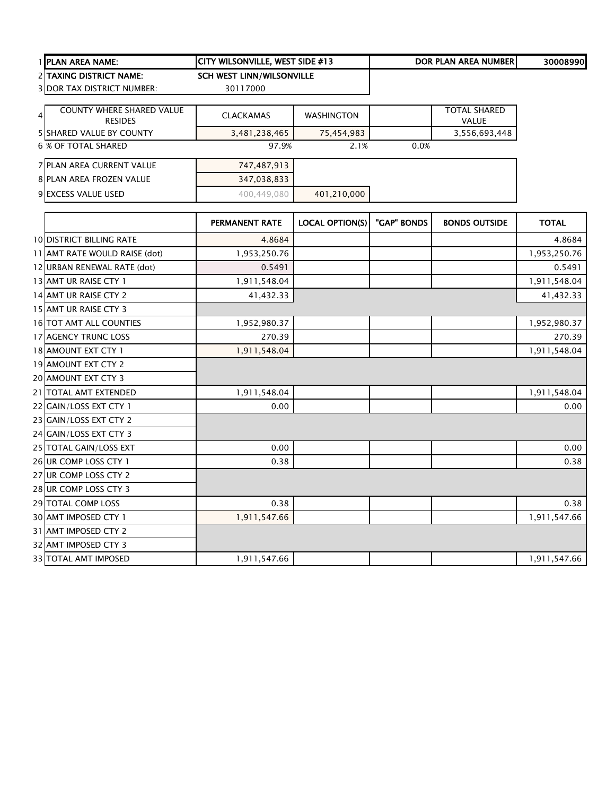|   | I PLAN AREA NAME:                                  | <b>CITY WILSONVILLE, WEST SIDE #13</b> |                   |      | DOR PLAN AREA NUMBERI               | 30008990 |
|---|----------------------------------------------------|----------------------------------------|-------------------|------|-------------------------------------|----------|
|   | <b>2 TAXING DISTRICT NAME:</b>                     | <b>SCH WEST LINN/WILSONVILLE</b>       |                   |      |                                     |          |
|   | <b>3IDOR TAX DISTRICT NUMBER:</b>                  | 30117000                               |                   |      |                                     |          |
| 4 | <b>COUNTY WHERE SHARED VALUE</b><br><b>RESIDES</b> | <b>CLACKAMAS</b>                       | <b>WASHINGTON</b> |      | <b>TOTAL SHARED</b><br><b>VALUE</b> |          |
|   | <b>5 ISHARED VALUE BY COUNTY</b>                   | 3,481,238,465                          | 75,454,983        |      | 3,556,693,448                       |          |
|   | 6 % OF TOTAL SHARED                                | 97.9%                                  | 2.1%              | 0.0% |                                     |          |
|   | 7 PLAN AREA CURRENT VALUE                          | 747,487,913                            |                   |      |                                     |          |
|   | <b>8 PLAN AREA FROZEN VALUE</b>                    | 347,038,833                            |                   |      |                                     |          |
|   | <b>9 EXCESS VALUE USED</b>                         | 400.449.080                            | 401,210,000       |      |                                     |          |

|                                 | <b>PERMANENT RATE</b> | <b>LOCAL OPTION(S)</b> | "GAP" BONDS | <b>BONDS OUTSIDE</b> | <b>TOTAL</b> |
|---------------------------------|-----------------------|------------------------|-------------|----------------------|--------------|
| <b>10 DISTRICT BILLING RATE</b> | 4.8684                |                        |             |                      | 4.8684       |
| 11 AMT RATE WOULD RAISE (dot)   | 1,953,250.76          |                        |             |                      | 1,953,250.76 |
| 12 URBAN RENEWAL RATE (dot)     | 0.5491                |                        |             |                      | 0.5491       |
| 13 AMT UR RAISE CTY 1           | 1,911,548.04          |                        |             |                      | 1,911,548.04 |
| 14 AMT UR RAISE CTY 2           | 41,432.33             |                        |             |                      | 41,432.33    |
| 15 AMT UR RAISE CTY 3           |                       |                        |             |                      |              |
| <b>16 TOT AMT ALL COUNTIES</b>  | 1,952,980.37          |                        |             |                      | 1,952,980.37 |
| <b>17 AGENCY TRUNC LOSS</b>     | 270.39                |                        |             |                      | 270.39       |
| 18 AMOUNT EXT CTY 1             | 1,911,548.04          |                        |             |                      | 1,911,548.04 |
| <b>19 AMOUNT EXT CTY 2</b>      |                       |                        |             |                      |              |
| 20 AMOUNT EXT CTY 3             |                       |                        |             |                      |              |
| 21 TOTAL AMT EXTENDED           | 1,911,548.04          |                        |             |                      | 1,911,548.04 |
| 22 GAIN/LOSS EXT CTY 1          | 0.00                  |                        |             |                      | 0.00         |
| 23 GAIN/LOSS EXT CTY 2          |                       |                        |             |                      |              |
| 24 GAIN/LOSS EXT CTY 3          |                       |                        |             |                      |              |
| 25 TOTAL GAIN/LOSS EXT          | 0.00                  |                        |             |                      | 0.00         |
| 26 UR COMP LOSS CTY 1           | 0.38                  |                        |             |                      | 0.38         |
| 27 UR COMP LOSS CTY 2           |                       |                        |             |                      |              |
| 28 UR COMP LOSS CTY 3           |                       |                        |             |                      |              |
| 29 TOTAL COMP LOSS              | 0.38                  |                        |             |                      | 0.38         |
| <b>30 AMT IMPOSED CTY 1</b>     | 1,911,547.66          |                        |             |                      | 1,911,547.66 |
| 31 AMT IMPOSED CTY 2            |                       |                        |             |                      |              |
| 32 AMT IMPOSED CTY 3            |                       |                        |             |                      |              |
| 33 TOTAL AMT IMPOSED            | 1,911,547.66          |                        |             |                      | 1,911,547.66 |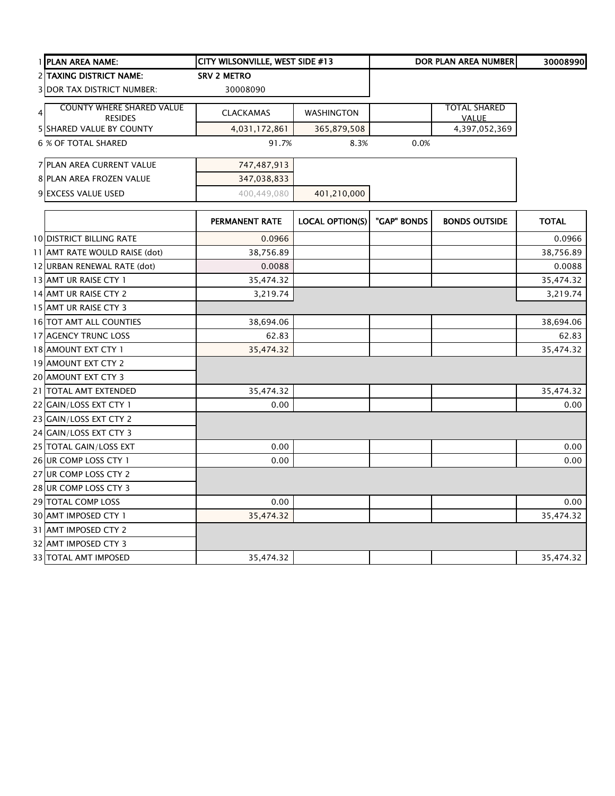|   | 1 PLAN AREA NAME:                                  | CITY WILSONVILLE, WEST SIDE #13 |                        |             | DOR PLAN AREA NUMBER                | 30008990     |
|---|----------------------------------------------------|---------------------------------|------------------------|-------------|-------------------------------------|--------------|
|   | 2 TAXING DISTRICT NAME:                            | <b>SRV 2 METRO</b>              |                        |             |                                     |              |
|   | <b>3 DOR TAX DISTRICT NUMBER:</b>                  | 30008090                        |                        |             |                                     |              |
| 4 | <b>COUNTY WHERE SHARED VALUE</b><br><b>RESIDES</b> | <b>CLACKAMAS</b>                | WASHINGTON             |             | <b>TOTAL SHARED</b><br><b>VALUE</b> |              |
|   | <b>5 SHARED VALUE BY COUNTY</b>                    | 4,031,172,861                   | 365,879,508            |             | 4,397,052,369                       |              |
|   | <b>6 % OF TOTAL SHARED</b>                         | 91.7%                           | 8.3%                   | 0.0%        |                                     |              |
|   | 7 PLAN AREA CURRENT VALUE                          | 747,487,913                     |                        |             |                                     |              |
|   | 8 PLAN AREA FROZEN VALUE                           | 347,038,833                     |                        |             |                                     |              |
|   | 9 EXCESS VALUE USED                                | 400,449,080                     | 401,210,000            |             |                                     |              |
|   |                                                    | PERMANENT RATE                  | <b>LOCAL OPTION(S)</b> | "GAP" BONDS | <b>BONDS OUTSIDE</b>                | <b>TOTAL</b> |
|   | <b>10 DISTRICT BILLING RATE</b>                    | 0.0966                          |                        |             |                                     | 0.0966       |
|   | 11 AMT RATE WOULD RAISE (dot)                      | 38,756.89                       |                        |             |                                     | 38,756.89    |
|   | 12 URBAN RENEWAL RATE (dot)                        | 0.0088                          |                        |             |                                     | 0.0088       |
|   | 13 AMT UR RAISE CTY 1                              | 35,474.32                       |                        |             |                                     | 35,474.32    |
|   | 14 AMT UR RAISE CTY 2                              | 3,219.74                        |                        |             |                                     | 3,219.74     |
|   | 15 AMT UR RAISE CTY 3                              |                                 |                        |             |                                     |              |
|   | 16 TOT AMT ALL COUNTIES                            | 38,694.06                       |                        |             |                                     | 38,694.06    |
|   | 17 AGENCY TRUNC LOSS                               | 62.83                           |                        |             |                                     | 62.83        |
|   | 18 AMOUNT EXT CTY 1                                | 35,474.32                       |                        |             |                                     | 35,474.32    |
|   | 19 AMOUNT EXT CTY 2                                |                                 |                        |             |                                     |              |
|   | 20 AMOUNT EXT CTY 3                                |                                 |                        |             |                                     |              |
|   | 21 TOTAL AMT EXTENDED                              | 35,474.32                       |                        |             |                                     | 35,474.32    |
|   | 22 GAIN/LOSS EXT CTY 1                             | 0.00                            |                        |             |                                     | 0.00         |
|   | 23 GAIN/LOSS EXT CTY 2                             |                                 |                        |             |                                     |              |
|   | 24 GAIN/LOSS EXT CTY 3                             |                                 |                        |             |                                     |              |
|   | 25 TOTAL GAIN/LOSS EXT                             | 0.00                            |                        |             |                                     | 0.00         |
|   | 26 UR COMP LOSS CTY 1                              | 0.00                            |                        |             |                                     | 0.00         |
|   | 27 UR COMP LOSS CTY 2                              |                                 |                        |             |                                     |              |
|   | 28 UR COMP LOSS CTY 3                              |                                 |                        |             |                                     |              |
|   | 29 TOTAL COMP LOSS                                 | 0.00                            |                        |             |                                     | 0.00         |
|   | 30 AMT IMPOSED CTY 1                               | 35,474.32                       |                        |             |                                     | 35,474.32    |
|   | 31 AMT IMPOSED CTY 2                               |                                 |                        |             |                                     |              |
|   | 32 AMT IMPOSED CTY 3                               |                                 |                        |             |                                     |              |
|   | <b>33 TOTAL AMT IMPOSED</b>                        | 35,474.32                       |                        |             |                                     | 35,474.32    |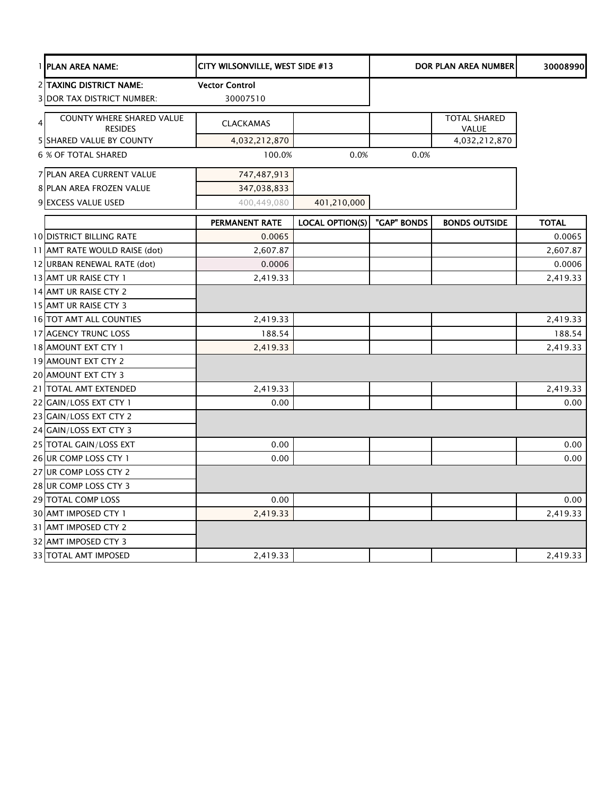|   | 1 PLAN AREA NAME:                                                   | CITY WILSONVILLE, WEST SIDE #13   |                        |             | <b>DOR PLAN AREA NUMBER</b>         | 30008990     |
|---|---------------------------------------------------------------------|-----------------------------------|------------------------|-------------|-------------------------------------|--------------|
|   | <b>2 TAXING DISTRICT NAME:</b><br><b>3 DOR TAX DISTRICT NUMBER:</b> | <b>Vector Control</b><br>30007510 |                        |             |                                     |              |
| 4 | <b>COUNTY WHERE SHARED VALUE</b><br><b>RESIDES</b>                  | <b>CLACKAMAS</b>                  |                        |             | <b>TOTAL SHARED</b><br><b>VALUE</b> |              |
|   | 5 SHARED VALUE BY COUNTY                                            | 4,032,212,870                     |                        |             | 4,032,212,870                       |              |
|   | <b>6 % OF TOTAL SHARED</b>                                          | 100.0%                            | 0.0%                   | 0.0%        |                                     |              |
|   | 7 PLAN AREA CURRENT VALUE                                           | 747,487,913                       |                        |             |                                     |              |
|   | 8 PLAN AREA FROZEN VALUE                                            | 347,038,833                       |                        |             |                                     |              |
|   | 9 EXCESS VALUE USED                                                 | 400,449,080                       | 401,210,000            |             |                                     |              |
|   |                                                                     | PERMANENT RATE                    | <b>LOCAL OPTION(S)</b> | "GAP" BONDS | <b>BONDS OUTSIDE</b>                | <b>TOTAL</b> |
|   | <b>10 DISTRICT BILLING RATE</b>                                     | 0.0065                            |                        |             |                                     | 0.0065       |
|   | 11 AMT RATE WOULD RAISE (dot)                                       | 2,607.87                          |                        |             |                                     | 2,607.87     |
|   | 12 URBAN RENEWAL RATE (dot)                                         | 0.0006                            |                        |             |                                     | 0.0006       |
|   | 13 AMT UR RAISE CTY 1                                               | 2,419.33                          |                        |             |                                     | 2,419.33     |
|   | 14 AMT UR RAISE CTY 2                                               |                                   |                        |             |                                     |              |
|   | 15 AMT UR RAISE CTY 3                                               |                                   |                        |             |                                     |              |
|   | 16 TOT AMT ALL COUNTIES                                             | 2,419.33                          |                        |             |                                     | 2,419.33     |
|   | 17 AGENCY TRUNC LOSS                                                | 188.54                            |                        |             |                                     | 188.54       |
|   | 18 AMOUNT EXT CTY 1                                                 | 2,419.33                          |                        |             |                                     | 2,419.33     |
|   | 19 AMOUNT EXT CTY 2                                                 |                                   |                        |             |                                     |              |
|   | 20 AMOUNT EXT CTY 3                                                 |                                   |                        |             |                                     |              |
|   | 21 TOTAL AMT EXTENDED                                               | 2,419.33                          |                        |             |                                     | 2,419.33     |
|   | 22 GAIN/LOSS EXT CTY 1                                              | 0.00                              |                        |             |                                     | 0.00         |
|   | 23 GAIN/LOSS EXT CTY 2                                              |                                   |                        |             |                                     |              |
|   | 24 GAIN/LOSS EXT CTY 3                                              |                                   |                        |             |                                     |              |
|   | 25 TOTAL GAIN/LOSS EXT                                              | 0.00                              |                        |             |                                     | 0.00         |
|   | 26 UR COMP LOSS CTY 1                                               | 0.00                              |                        |             |                                     | 0.00         |
|   | 27 UR COMP LOSS CTY 2                                               |                                   |                        |             |                                     |              |
|   | 28 UR COMP LOSS CTY 3                                               |                                   |                        |             |                                     |              |
|   | 29 TOTAL COMP LOSS                                                  | 0.00                              |                        |             |                                     | 0.00         |
|   | 30 AMT IMPOSED CTY 1                                                | 2,419.33                          |                        |             |                                     | 2,419.33     |
|   | 31 AMT IMPOSED CTY 2                                                |                                   |                        |             |                                     |              |
|   | 32 AMT IMPOSED CTY 3                                                |                                   |                        |             |                                     |              |
|   | <b>33 TOTAL AMT IMPOSED</b>                                         | 2,419.33                          |                        |             |                                     | 2,419.33     |